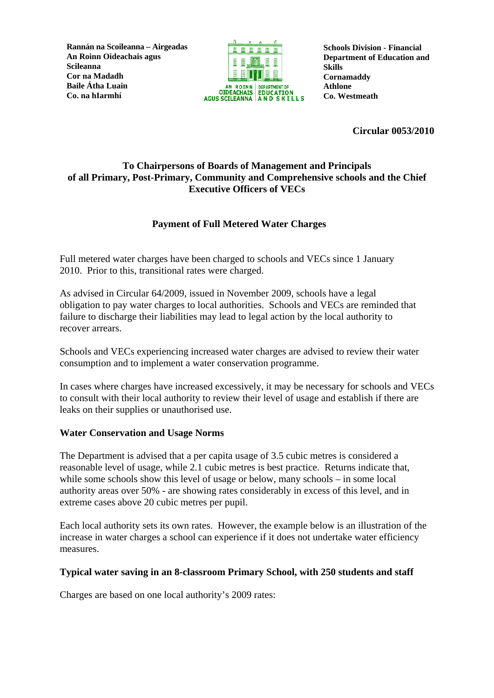**Rannán na Scoileanna – Airgeadas An Roinn Oideachais agus Scileanna Cor na Madadh Baile Átha Luain Co. na hIarmhí** 



**Schools Division - Financial Department of Education and Skills Cornamaddy Athlone Co. Westmeath**

**Circular 0053/2010** 

## **To Chairpersons of Boards of Management and Principals of all Primary, Post-Primary, Community and Comprehensive schools and the Chief Executive Officers of VECs**

# **Payment of Full Metered Water Charges**

Full metered water charges have been charged to schools and VECs since 1 January 2010. Prior to this, transitional rates were charged.

As advised in Circular 64/2009, issued in November 2009, schools have a legal obligation to pay water charges to local authorities. Schools and VECs are reminded that failure to discharge their liabilities may lead to legal action by the local authority to recover arrears.

Schools and VECs experiencing increased water charges are advised to review their water consumption and to implement a water conservation programme.

In cases where charges have increased excessively, it may be necessary for schools and VECs to consult with their local authority to review their level of usage and establish if there are leaks on their supplies or unauthorised use.

### **Water Conservation and Usage Norms**

The Department is advised that a per capita usage of 3.5 cubic metres is considered a reasonable level of usage, while 2.1 cubic metres is best practice. Returns indicate that, while some schools show this level of usage or below, many schools – in some local authority areas over 50% - are showing rates considerably in excess of this level, and in extreme cases above 20 cubic metres per pupil.

Each local authority sets its own rates. However, the example below is an illustration of the increase in water charges a school can experience if it does not undertake water efficiency measures.

#### **Typical water saving in an 8-classroom Primary School, with 250 students and staff**

Charges are based on one local authority's 2009 rates: